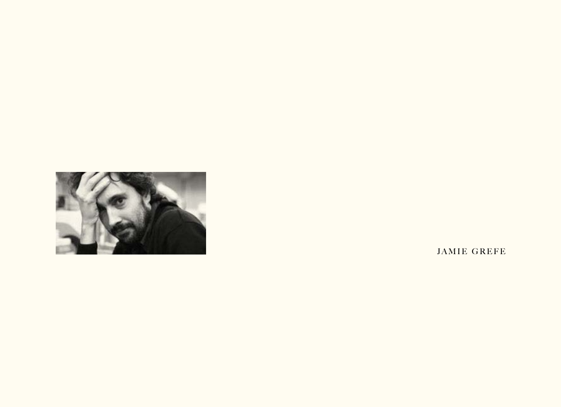

**JAMIE GREFE**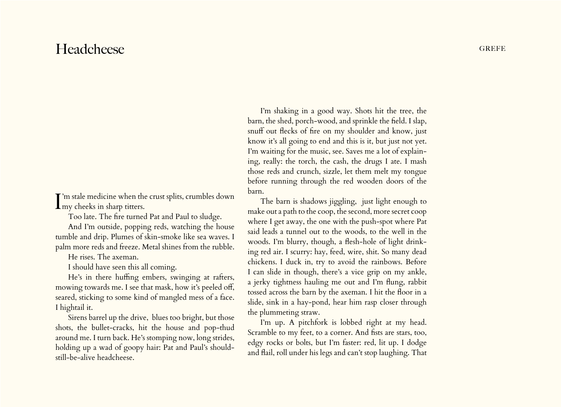## Headcheese GREFE

 $\prod_{\text{my} \text{ checks in sharp titers.}}$ T'm stale medicine when the crust splits, crumbles down

Too late. The fire turned Pat and Paul to sludge.

And I'm outside, popping reds, watching the house tumble and drip. Plumes of skin-smoke like sea waves. I palm more reds and freeze. Metal shines from the rubble.

He rises. The axeman.

I should have seen this all coming.

He's in there huffing embers, swinging at rafters, mowing towards me. I see that mask, how it's peeled off, seared, sticking to some kind of mangled mess of a face. I hightail it.

Sirens barrel up the drive, blues too bright, but those shots, the bullet-cracks, hit the house and pop-thud around me. I turn back. He's stomping now, long strides, holding up a wad of goopy hair: Pat and Paul's shouldstill-be-alive headcheese.

I'm shaking in a good way. Shots hit the tree, the barn, the shed, porch-wood, and sprinkle the field. I slap, snuff out flecks of fire on my shoulder and know, just know it's all going to end and this is it, but just not yet. I'm waiting for the music, see. Saves me a lot of explaining, really: the torch, the cash, the drugs I ate. I mash those reds and crunch, sizzle, let them melt my tongue before running through the red wooden doors of the barn.

The barn is shadows jiggling, just light enough to make out a path to the coop, the second, more secret coop where I get away, the one with the push-spot where Pat said leads a tunnel out to the woods, to the well in the woods. I'm blurry, though, a flesh-hole of light drinking red air. I scurry: hay, feed, wire, shit. So many dead chickens. I duck in, try to avoid the rainbows. Before I can slide in though, there's a vice grip on my ankle, a jerky tightness hauling me out and I'm flung, rabbit tossed across the barn by the axeman. I hit the floor in a slide, sink in a hay-pond, hear him rasp closer through the plummeting straw.

I'm up. A pitchfork is lobbed right at my head. Scramble to my feet, to a corner. And fists are stars, too, edgy rocks or bolts, but I'm faster: red, lit up. I dodge and flail, roll under his legs and can't stop laughing. That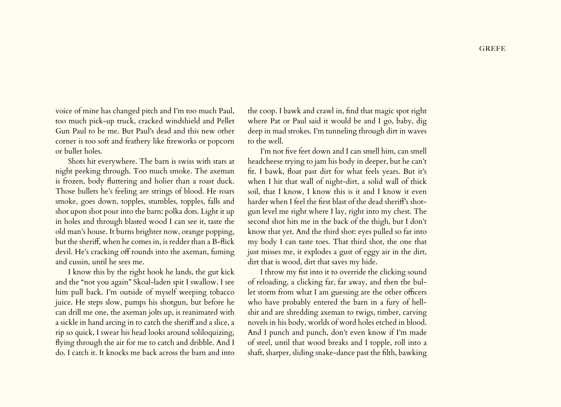voice of mine has changed pitch and I'm too much Paul, too much pick-up truck, cracked windshield and Pellet Gun Paul to be me. But Paul's dead and this new other corner is too soft and feathery like fireworks or popcorn or bullet holes.

Shots hit everywhere. The barn is swiss with stars at night peeking through. Too much smoke. The axeman is frozen, body fluttering and holier than a roast duck. Those bullets he's feeling are strings of blood. He roars smoke, goes down, topples, stumbles, topples, falls and shot upon shot pour into the barn: polka dots. Light it up in holes and through blasted wood I can see it, taste the old man's house. It burns brighter now, orange popping, but the sheriff, when he comes in, is redder than a B-flick devil. He's cracking off rounds into the axeman, fuming and cussin, until he sees me.

I know this by the right hook he lands, the gut kick and the "not you again" Skoal-laden spit I swallow. I see him pull back. I'm outside of myself weeping tobacco juice. He steps slow, pumps his shotgun, but before he can drill me one, the axeman jolts up, is reanimated with a sickle in hand arcing in to catch the sheriff and a slice, a rip so quick, I swear his head looks around soliloquizing, flying through the air for me to catch and dribble. And I do. I catch it. It knocks me back across the barn and into

the coop. I bawk and crawl in, find that magic spot right where Pat or Paul said it would be and I go, baby, dig deep in mad strokes. I'm tunneling through dirt in waves to the well.

I'm not five feet down and I can smell him, can smell headcheese trying to jam his body in deeper, but he can't fit. I bawk, float past dirt for what feels years. But it's when I hit that wall of night-dirt, a solid wall of thick soil, that I know, I know this is it and I know it even harder when I feel the first blast of the dead sheriff's shotgun level me right where I lay, right into my chest. The second shot hits me in the back of the thigh, but I don't know that yet. And the third shot: eyes pulled so far into my body I can taste toes. That third shot, the one that just misses me, it explodes a gust of eggy air in the dirt, dirt that is wood, dirt that saves my hide.

I throw my fist into it to override the clicking sound of reloading, a clicking far, far away, and then the bullet storm from what I am guessing are the other officers who have probably entered the barn in a fury of hellshit and are shredding axeman to twigs, timber, carving novels in his body, worlds of word holes etched in blood. And I punch and punch, don't even know if I'm made of steel, until that wood breaks and I topple, roll into a shaft, sharper, sliding snake-dance past the filth, bawking